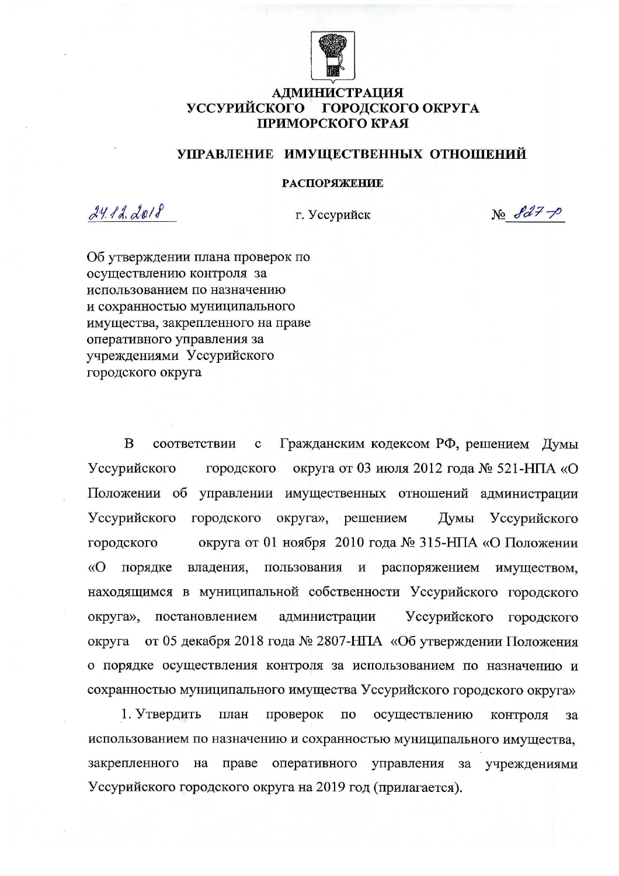

#### **АДМИНИСТРАЦИЯ** УССУРИЙСКОГО ГОРОДСКОГО ОКРУГА ПРИМОРСКОГО КРАЯ

## УПРАВЛЕНИЕ ИМУЩЕСТВЕННЫХ ОТНОШЕНИЙ

### **РАСПОРЯЖЕНИЕ**

 $241222018$ 

г. Уссурийск

 $N_0$   $8d7 - p$ 

Об утверждении плана проверок по осуществлению контроля за использованием по назначению и сохранностью муниципального имущества, закрепленного на праве оперативного управления за учреждениями Уссурийского городского округа

B Гражданским кодексом РФ, решением Думы соответствии  $\mathbf c$ Уссурийского городского округа от 03 июля 2012 года № 521-НПА «О Положении об управлении имущественных отношений администрации округа», решением Уссурийского городского Думы Уссурийского городского округа от 01 ноября 2010 года № 315-НПА «О Положении  $\langle \langle$ O владения, пользования порядке  $\, {\bf N}$ распоряжением имуществом, находящимся в муниципальной собственности Уссурийского городского округа», постановлением администрации Уссурийского городского от 05 декабря 2018 года № 2807-НПА «Об утверждении Положения округа о порядке осуществления контроля за использованием по назначению и сохранностью муниципального имущества Уссурийского городского округа»

1. Утвердить план проверок осуществлению  $\rm \Pi O$ контроля за использованием по назначению и сохранностью муниципального имущества, закрепленного на праве оперативного управления за учреждениями Уссурийского городского округа на 2019 год (прилагается).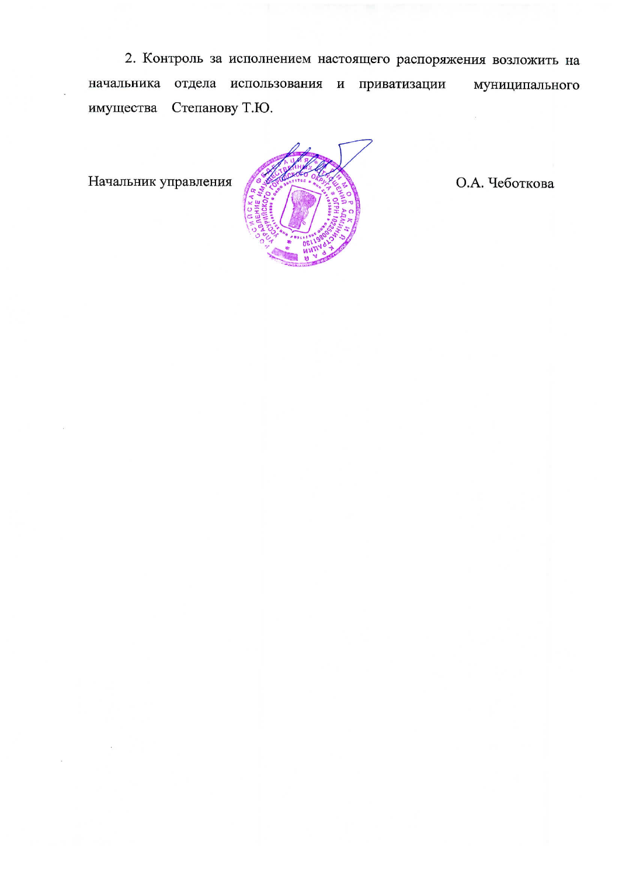2. Контроль за исполнением настоящего распоряжения возложить на начальника отдела использования и приватизации муниципального Степанову Т.Ю. имущества

Начальник управления



О.А. Чеботкова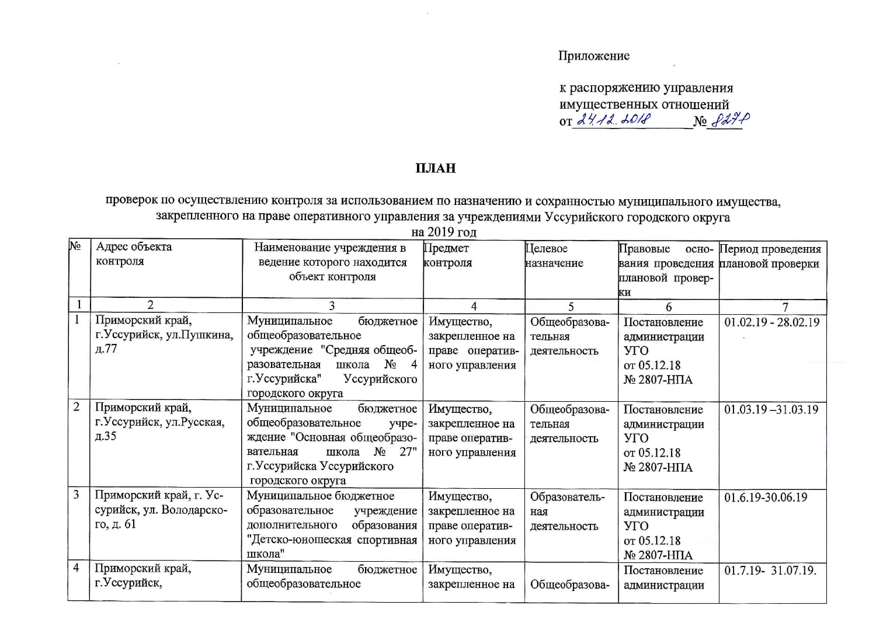# Приложение

| к распоряжению управления |                 |
|---------------------------|-----------------|
| имущественных отношений   |                 |
| $or 24.12.1018$           | $N_2$ $827 - 9$ |

## ПЛАН

проверок по осуществлению контроля за использованием по назначению и сохранностью муниципального имущества, закрепленного на праве оперативного управления за учреждениями Уссурийского городского округа

| l№             | Адрес объекта              | Наименование учреждения в            | Предмет         | Целевое       | Правовые<br>осно- | Период проведения     |
|----------------|----------------------------|--------------------------------------|-----------------|---------------|-------------------|-----------------------|
|                | контроля                   | ведение которого находится           | контроля        | назначение    | вания проведения  | плановой проверки     |
|                |                            | объект контроля                      |                 |               | плановой провер-  |                       |
|                |                            |                                      |                 |               | ки                |                       |
|                | $\overline{2}$             |                                      | 4               | 5             |                   |                       |
|                | Приморский край,           | бюджетное<br>Муниципальное           | Имущество,      | Общеобразова- | Постановление     | $01.02.19 - 28.02.19$ |
|                | г. Уссурийск, ул. Пушкина, | общеобразовательное                  | закрепленное на | тельная       | администрации     |                       |
|                | д.77                       | учреждение "Средняя общеоб-          | праве оператив- | деятельность  | <b>YTO</b>        |                       |
|                |                            | $N_2$<br>разовательная<br>4<br>школа | ного управления |               | от 05.12.18       |                       |
|                |                            | г. Уссурийска"<br>Уссурийского       |                 |               | № 2807-НПА        |                       |
|                |                            | городского округа                    |                 |               |                   |                       |
| $\overline{2}$ | Приморский край,           | Муниципальное<br>бюджетное           | Имущество,      | Общеобразова- | Постановление     | $01.03.19 - 31.03.19$ |
|                | г. Уссурийск, ул. Русская, | общеобразовательное<br>учре-         | закрепленное на | тельная       | администрации     |                       |
|                | д.35                       | ждение "Основная общеобразо-         | праве оператив- | деятельность  | УГО               |                       |
|                |                            | $N_2$<br>27"<br>вательная<br>школа   | ного управления |               | от 05.12.18       |                       |
|                |                            | г. Уссурийска Уссурийского           |                 |               | № 2807-НПА        |                       |
|                |                            | городского округа                    |                 |               |                   |                       |
| 3              | Приморский край, г. Ус-    | Муниципальное бюджетное              | Имущество,      | Образователь- | Постановление     | 01.6.19-30.06.19      |
|                | сурийск, ул. Володарско-   | образовательное<br>учреждение        | закрепленное на | ная           | администрации     |                       |
|                | го, д. 61                  | дополнительного<br>образования       | праве оператив- | деятельность  | УГО               |                       |
|                |                            | "Детско-юношеская спортивная         | ного управления |               | от 05.12.18       |                       |
|                |                            | школа"                               |                 |               | № 2807-НПА        |                       |
| 4              | Приморский край,           | Муниципальное<br>бюджетное           | Имущество,      |               | Постановление     | 01.7.19- 31.07.19.    |
|                | г. Уссурийск,              | общеобразовательное                  | закрепленное на | Общеобразова- | администрации     |                       |
|                |                            |                                      |                 |               |                   |                       |

на 2019 год